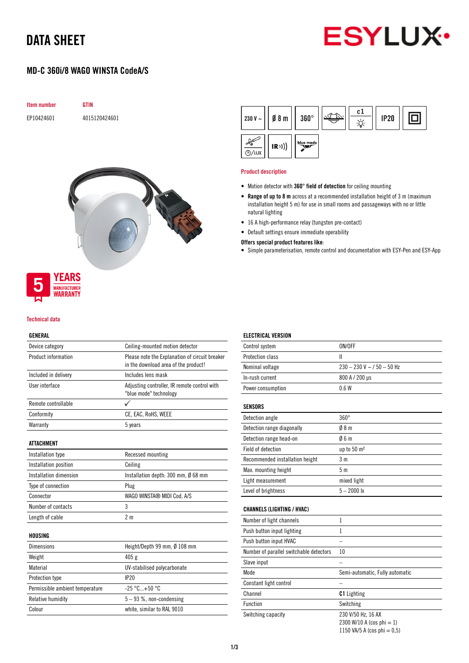# DATA SHEET



# MD-C 360i/8 WAGO WINSTA CodeA/S



Rock Carpenter



#### Product description

- Motion detector with 360° field of detection for ceiling mounting
- Range of up to 8 m across at a recommended installation height of 3 m (maximum installation height 5 m) for use in small rooms and passageways with no or little natural lighting
- 16 A high-performance relay (tungsten pre-contact)
- Default settings ensure immediate operability

## Offers special product features like:

• Simple parameterisation, remote control and documentation with ESY-Pen and ESY-App



#### Technical data

## GENERAL

| Device category                 | Ceiling-mounted motion detector                                                        |
|---------------------------------|----------------------------------------------------------------------------------------|
| Product information             | Please note the Explanation of circuit breaker<br>in the download area of the product! |
| Included in delivery            | Includes lens mask                                                                     |
| User interface                  | Adjusting controller, IR remote control with<br>"blue mode" technology                 |
| Remote controllable             |                                                                                        |
| Conformity                      | CE, EAC, RoHS, WEEE                                                                    |
| Warranty                        | 5 years                                                                                |
| <b>ATTACHMENT</b>               |                                                                                        |
| Installation type               | Recessed mounting                                                                      |
| Installation position           | Ceiling                                                                                |
| Installation dimension          | Installation depth: 300 mm, Ø 68 mm                                                    |
| Type of connection              | Plug                                                                                   |
| Connector                       | WAGO WINSTA® MIDI Cod. A/S                                                             |
| Number of contacts              | 3                                                                                      |
| Length of cable                 | 2 <sub>m</sub>                                                                         |
| HOUSING                         |                                                                                        |
| <b>Dimensions</b>               | Height/Depth 99 mm, Ø 108 mm                                                           |
| Weight                          | 405 g                                                                                  |
| Material                        | UV-stabilised polycarbonate                                                            |
| Protection type                 | IP20                                                                                   |
| Permissible ambient temperature | $-25 °C+50 °C$                                                                         |
| Relative humidity               | 5-93 %, non-condensing                                                                 |
| Colour                          | white, similar to RAL 9010                                                             |

# ELECTRICAL VERSION

| Control system          | ON/OFF                       |
|-------------------------|------------------------------|
| <b>Protection class</b> |                              |
| Nominal voltage         | $230 - 230$ V ~ / 50 - 50 Hz |
| In-rush current         | 800 A / 200 µs               |
| Power consumption       | 06W                          |
|                         |                              |

### **SENSORS**

| Detection angle                 | $360^\circ$            |
|---------------------------------|------------------------|
| Detection range diagonally      | 08 <sub>m</sub>        |
| Detection range head-on         | 06m                    |
| Field of detection              | up to $50 \text{ m}^2$ |
| Recommended installation height | 3 m                    |
| Max. mounting height            | 5 m                    |
| Light measurement               | mixed light            |
| Level of brightness             | $5 - 2000$ lx          |

## CHANNELS (LIGHTING / HVAC)

| Number of light channels                |                                 |
|-----------------------------------------|---------------------------------|
| Push button input lighting              |                                 |
| Push button input HVAC                  |                                 |
| Number of parallel switchable detectors | 10                              |
| Slave input                             |                                 |
| Mode                                    | Semi-automatic, Fully automatic |
| Constant light control                  |                                 |
| Channel                                 | <b>C1</b> Lighting              |
| <b>Function</b>                         | Switching                       |
| Switching capacity                      | 230 V/50 Hz, 16 AX              |
|                                         | 2300 W/10 A (cos phi = 1)       |
|                                         | 1150 VA/5 A (cos phi = $0.5$ )  |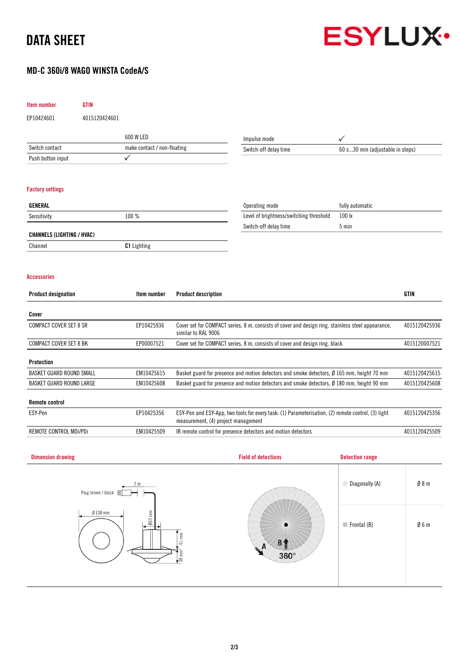# DATA SHEET

# MD-C 360i/8 WAGO WINSTA CodeA/S



| EP10424601<br>4015120424601<br>600 W LED<br>Impulse mode<br>$\checkmark$<br>Switch contact<br>make contact / non-floating<br>Switch-off delay time<br>60 s30 min (adjustable in steps)<br>✓<br>Push button input<br><b>Factory settings</b><br>GENERAL<br>Operating mode<br>fully automatic<br>Level of brightness/switching threshold<br>100 lx<br>100 %<br>Sensitivity<br>Switch-off delay time<br>5 min<br><b>CHANNELS (LIGHTING / HVAC)</b><br><b>C1</b> Lighting<br>Channel<br><b>Accessories</b><br><b>GTIN</b><br><b>Product designation</b><br>Item number<br><b>Product description</b><br>Cover<br><b>COMPACT COVER SET 8 SR</b><br>EP10425936<br>Cover set for COMPACT series, 8 m, consists of cover and design ring, stainless steel appearance,<br>similar to RAL 9006<br>COMPACT COVER SET 8 BK<br>EP00007521<br>Cover set for COMPACT series, 8 m, consists of cover and design ring, black<br><b>Protection</b><br><b>BASKET GUARD ROUND SMALL</b><br>EM10425615<br>Basket guard for presence and motion detectors and smoke detectors, Ø 165 mm, height 70 mm<br>EM10425608<br><b>BASKET GUARD ROUND LARGE</b><br>Basket guard for presence and motion detectors and smoke detectors, $\emptyset$ 180 mm, height 90 mm<br><b>Remote control</b><br>ESY-Pen<br>EP10425356<br>ESY-Pen and ESY-App, two tools for every task: (1) Parameterisation, (2) remote control, (3) light<br>measurement, (4) project management<br>REMOTE CONTROL MDi/PDi<br>EM10425509<br>IR remote control for presence detectors and motion detectors<br><b>Field of detections</b><br><b>Detection range</b><br><b>Dimension drawing</b> | Item number | <b>GTIN</b> |  |  |  |               |
|--------------------------------------------------------------------------------------------------------------------------------------------------------------------------------------------------------------------------------------------------------------------------------------------------------------------------------------------------------------------------------------------------------------------------------------------------------------------------------------------------------------------------------------------------------------------------------------------------------------------------------------------------------------------------------------------------------------------------------------------------------------------------------------------------------------------------------------------------------------------------------------------------------------------------------------------------------------------------------------------------------------------------------------------------------------------------------------------------------------------------------------------------------------------------------------------------------------------------------------------------------------------------------------------------------------------------------------------------------------------------------------------------------------------------------------------------------------------------------------------------------------------------------------------------------------------------------------------------------------------------------------|-------------|-------------|--|--|--|---------------|
|                                                                                                                                                                                                                                                                                                                                                                                                                                                                                                                                                                                                                                                                                                                                                                                                                                                                                                                                                                                                                                                                                                                                                                                                                                                                                                                                                                                                                                                                                                                                                                                                                                      |             |             |  |  |  |               |
|                                                                                                                                                                                                                                                                                                                                                                                                                                                                                                                                                                                                                                                                                                                                                                                                                                                                                                                                                                                                                                                                                                                                                                                                                                                                                                                                                                                                                                                                                                                                                                                                                                      |             |             |  |  |  |               |
|                                                                                                                                                                                                                                                                                                                                                                                                                                                                                                                                                                                                                                                                                                                                                                                                                                                                                                                                                                                                                                                                                                                                                                                                                                                                                                                                                                                                                                                                                                                                                                                                                                      |             |             |  |  |  |               |
|                                                                                                                                                                                                                                                                                                                                                                                                                                                                                                                                                                                                                                                                                                                                                                                                                                                                                                                                                                                                                                                                                                                                                                                                                                                                                                                                                                                                                                                                                                                                                                                                                                      |             |             |  |  |  |               |
|                                                                                                                                                                                                                                                                                                                                                                                                                                                                                                                                                                                                                                                                                                                                                                                                                                                                                                                                                                                                                                                                                                                                                                                                                                                                                                                                                                                                                                                                                                                                                                                                                                      |             |             |  |  |  |               |
|                                                                                                                                                                                                                                                                                                                                                                                                                                                                                                                                                                                                                                                                                                                                                                                                                                                                                                                                                                                                                                                                                                                                                                                                                                                                                                                                                                                                                                                                                                                                                                                                                                      |             |             |  |  |  |               |
|                                                                                                                                                                                                                                                                                                                                                                                                                                                                                                                                                                                                                                                                                                                                                                                                                                                                                                                                                                                                                                                                                                                                                                                                                                                                                                                                                                                                                                                                                                                                                                                                                                      |             |             |  |  |  |               |
|                                                                                                                                                                                                                                                                                                                                                                                                                                                                                                                                                                                                                                                                                                                                                                                                                                                                                                                                                                                                                                                                                                                                                                                                                                                                                                                                                                                                                                                                                                                                                                                                                                      |             |             |  |  |  |               |
|                                                                                                                                                                                                                                                                                                                                                                                                                                                                                                                                                                                                                                                                                                                                                                                                                                                                                                                                                                                                                                                                                                                                                                                                                                                                                                                                                                                                                                                                                                                                                                                                                                      |             |             |  |  |  |               |
|                                                                                                                                                                                                                                                                                                                                                                                                                                                                                                                                                                                                                                                                                                                                                                                                                                                                                                                                                                                                                                                                                                                                                                                                                                                                                                                                                                                                                                                                                                                                                                                                                                      |             |             |  |  |  |               |
|                                                                                                                                                                                                                                                                                                                                                                                                                                                                                                                                                                                                                                                                                                                                                                                                                                                                                                                                                                                                                                                                                                                                                                                                                                                                                                                                                                                                                                                                                                                                                                                                                                      |             |             |  |  |  |               |
|                                                                                                                                                                                                                                                                                                                                                                                                                                                                                                                                                                                                                                                                                                                                                                                                                                                                                                                                                                                                                                                                                                                                                                                                                                                                                                                                                                                                                                                                                                                                                                                                                                      |             |             |  |  |  | 4015120425936 |
|                                                                                                                                                                                                                                                                                                                                                                                                                                                                                                                                                                                                                                                                                                                                                                                                                                                                                                                                                                                                                                                                                                                                                                                                                                                                                                                                                                                                                                                                                                                                                                                                                                      |             |             |  |  |  | 4015120007521 |
|                                                                                                                                                                                                                                                                                                                                                                                                                                                                                                                                                                                                                                                                                                                                                                                                                                                                                                                                                                                                                                                                                                                                                                                                                                                                                                                                                                                                                                                                                                                                                                                                                                      |             |             |  |  |  |               |
|                                                                                                                                                                                                                                                                                                                                                                                                                                                                                                                                                                                                                                                                                                                                                                                                                                                                                                                                                                                                                                                                                                                                                                                                                                                                                                                                                                                                                                                                                                                                                                                                                                      |             |             |  |  |  | 4015120425615 |
|                                                                                                                                                                                                                                                                                                                                                                                                                                                                                                                                                                                                                                                                                                                                                                                                                                                                                                                                                                                                                                                                                                                                                                                                                                                                                                                                                                                                                                                                                                                                                                                                                                      |             |             |  |  |  | 4015120425608 |
|                                                                                                                                                                                                                                                                                                                                                                                                                                                                                                                                                                                                                                                                                                                                                                                                                                                                                                                                                                                                                                                                                                                                                                                                                                                                                                                                                                                                                                                                                                                                                                                                                                      |             |             |  |  |  |               |
|                                                                                                                                                                                                                                                                                                                                                                                                                                                                                                                                                                                                                                                                                                                                                                                                                                                                                                                                                                                                                                                                                                                                                                                                                                                                                                                                                                                                                                                                                                                                                                                                                                      |             |             |  |  |  | 4015120425356 |
|                                                                                                                                                                                                                                                                                                                                                                                                                                                                                                                                                                                                                                                                                                                                                                                                                                                                                                                                                                                                                                                                                                                                                                                                                                                                                                                                                                                                                                                                                                                                                                                                                                      |             |             |  |  |  | 4015120425509 |
|                                                                                                                                                                                                                                                                                                                                                                                                                                                                                                                                                                                                                                                                                                                                                                                                                                                                                                                                                                                                                                                                                                                                                                                                                                                                                                                                                                                                                                                                                                                                                                                                                                      |             |             |  |  |  |               |
|                                                                                                                                                                                                                                                                                                                                                                                                                                                                                                                                                                                                                                                                                                                                                                                                                                                                                                                                                                                                                                                                                                                                                                                                                                                                                                                                                                                                                                                                                                                                                                                                                                      |             |             |  |  |  |               |

| 2 <sub>m</sub><br>Plug brown / black <sub>国</sub>                                                                 |                                                                           | Diagonally (A)             | Ø8m             |
|-------------------------------------------------------------------------------------------------------------------|---------------------------------------------------------------------------|----------------------------|-----------------|
| $\emptyset$ 108 mm<br>$063$ mm<br>$\mathop{\mathbb{E}}$<br>$\overline{\phantom{0}}$<br>$\circ$<br>$rac{1}{38}$ mm | $\bullet$<br>Y.<br>$360^\circ$<br><b><i>Procession of The Company</i></b> | $\blacksquare$ Frontal (B) | $\emptyset$ 6 m |